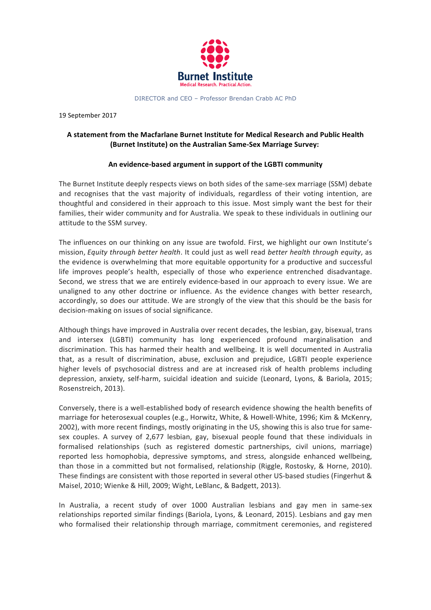

DIRECTOR and CEO – Professor Brendan Crabb AC PhD

19 September 2017

## A statement from the Macfarlane Burnet Institute for Medical Research and Public Health **(Burnet Institute) on the Australian Same-Sex Marriage Survey:**

## An evidence-based argument in support of the LGBTI community

The Burnet Institute deeply respects views on both sides of the same-sex marriage (SSM) debate and recognises that the vast majority of individuals, regardless of their voting intention, are thoughtful and considered in their approach to this issue. Most simply want the best for their families, their wider community and for Australia. We speak to these individuals in outlining our attitude to the SSM survey.

The influences on our thinking on any issue are twofold. First, we highlight our own Institute's mission, *Equity through better health*. It could just as well read *better health through equity*, as the evidence is overwhelming that more equitable opportunity for a productive and successful life improves people's health, especially of those who experience entrenched disadvantage. Second, we stress that we are entirely evidence-based in our approach to every issue. We are unaligned to any other doctrine or influence. As the evidence changes with better research, accordingly, so does our attitude. We are strongly of the view that this should be the basis for decision-making on issues of social significance.

Although things have improved in Australia over recent decades, the lesbian, gay, bisexual, trans and intersex (LGBTI) community has long experienced profound marginalisation and discrimination. This has harmed their health and wellbeing. It is well documented in Australia that, as a result of discrimination, abuse, exclusion and prejudice, LGBTI people experience higher levels of psychosocial distress and are at increased risk of health problems including depression, anxiety, self-harm, suicidal ideation and suicide (Leonard, Lyons, & Bariola, 2015; Rosenstreich, 2013).

Conversely, there is a well-established body of research evidence showing the health benefits of marriage for heterosexual couples (e.g., Horwitz, White, & Howell-White, 1996; Kim & McKenry, 2002), with more recent findings, mostly originating in the US, showing this is also true for samesex couples. A survey of 2,677 lesbian, gay, bisexual people found that these individuals in formalised relationships (such as registered domestic partnerships, civil unions, marriage) reported less homophobia, depressive symptoms, and stress, alongside enhanced wellbeing, than those in a committed but not formalised, relationship (Riggle, Rostosky, & Horne, 2010). These findings are consistent with those reported in several other US-based studies (Fingerhut & Maisel, 2010; Wienke & Hill, 2009; Wight, LeBlanc, & Badgett, 2013).

In Australia, a recent study of over 1000 Australian lesbians and gay men in same-sex relationships reported similar findings (Bariola, Lyons, & Leonard, 2015). Lesbians and gay men who formalised their relationship through marriage, commitment ceremonies, and registered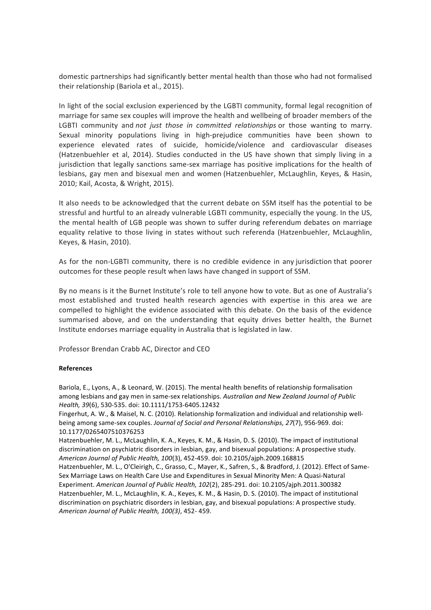domestic partnerships had significantly better mental health than those who had not formalised their relationship (Bariola et al., 2015).

In light of the social exclusion experienced by the LGBTI community, formal legal recognition of marriage for same sex couples will improve the health and wellbeing of broader members of the LGBTI community and *not just those in committed relationships* or those wanting to marry. Sexual minority populations living in high-prejudice communities have been shown to experience elevated rates of suicide, homicide/violence and cardiovascular diseases (Hatzenbuehler et al, 2014). Studies conducted in the US have shown that simply living in a jurisdiction that legally sanctions same-sex marriage has positive implications for the health of lesbians, gay men and bisexual men and women (Hatzenbuehler, McLaughlin, Keyes, & Hasin, 2010; Kail, Acosta, & Wright, 2015).

It also needs to be acknowledged that the current debate on SSM itself has the potential to be stressful and hurtful to an already vulnerable LGBTI community, especially the young. In the US, the mental health of LGB people was shown to suffer during referendum debates on marriage equality relative to those living in states without such referenda (Hatzenbuehler, McLaughlin, Keyes, & Hasin, 2010).

As for the non-LGBTI community, there is no credible evidence in any jurisdiction that poorer outcomes for these people result when laws have changed in support of SSM.

By no means is it the Burnet Institute's role to tell anyone how to vote. But as one of Australia's most established and trusted health research agencies with expertise in this area we are compelled to highlight the evidence associated with this debate. On the basis of the evidence summarised above, and on the understanding that equity drives better health, the Burnet Institute endorses marriage equality in Australia that is legislated in law.

Professor Brendan Crabb AC, Director and CEO

## **References**

Bariola, E., Lyons, A., & Leonard, W. (2015). The mental health benefits of relationship formalisation among lesbians and gay men in same-sex relationships. Australian and New Zealand Journal of Public *Health, 39*(6), 530-535. doi: 10.1111/1753-6405.12432

Fingerhut, A. W., & Maisel, N. C. (2010). Relationship formalization and individual and relationship wellbeing among same-sex couples. Journal of Social and Personal Relationships, 27(7), 956-969. doi: 10.1177/0265407510376253

Hatzenbuehler, M. L., McLaughlin, K. A., Keyes, K. M., & Hasin, D. S. (2010). The impact of institutional discrimination on psychiatric disorders in lesbian, gay, and bisexual populations: A prospective study. *American Journal of Public Health, 100*(3), 452-459. doi: 10.2105/ajph.2009.168815

Hatzenbuehler, M. L., O'Cleirigh, C., Grasso, C., Mayer, K., Safren, S., & Bradford, J. (2012). Effect of Same-Sex Marriage Laws on Health Care Use and Expenditures in Sexual Minority Men: A Quasi-Natural Experiment. American Journal of Public Health, 102(2), 285-291. doi: 10.2105/ajph.2011.300382 Hatzenbuehler, M. L., McLaughlin, K. A., Keyes, K. M., & Hasin, D. S. (2010). The impact of institutional discrimination on psychiatric disorders in lesbian, gay, and bisexual populations: A prospective study. *American Journal of Public Health, 100(3)*, 452- 459.